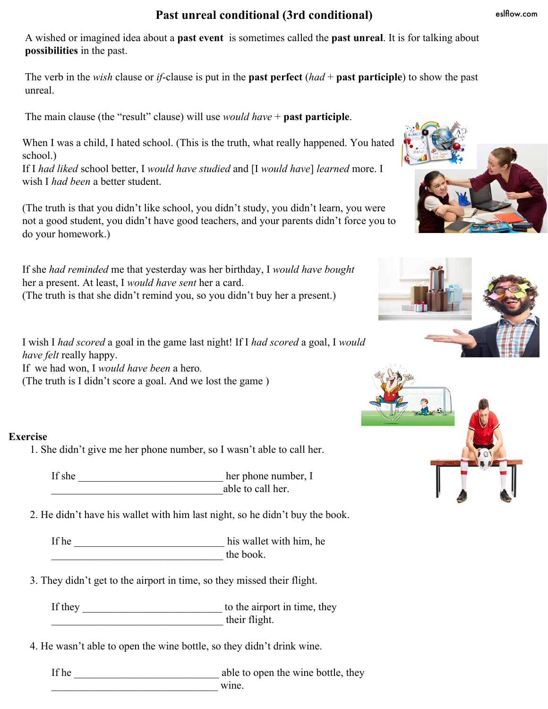## **Past unreal conditional (3rd conditional)**

eslflow.com

A wished or imagined idea about a **past event** is sometimes called the **past unreal**. It is for talking about **possibilities** in the past.

The verb in the *wish* clause or *if*-clause is put in the **past perfect** (*had* + **past participle**) to show the past unreal.

The main clause (the "result" clause) will use *would have* + **past participle**.

When I was a child, I hated school. (This is the truth, what really happened. You hated school.)

If I *had liked* school better, I *would have studied* and [I *would have*] *learned* more. I wish I *had been* a better student.

(The truth is that you didn't like school, you didn't study, you didn't learn, you were not a good student, you didn't have good teachers, and your parents didn't force you to do your homework.)

If she *had reminded* me that yesterday was her birthday, I *would have bought* her a present. At least, I *would have sent* her a card. (The truth is that she didn't remind you, so you didn't buy her a present.)

I wish I *had scored* a goal in the game last night! If I *had scored* a goal, I *would have felt* really happy. If we had won, I *would have been* a hero*.* 

(The truth is I didn't score a goal. And we lost the game )

## **Exercise**

1. She didn't give me her phone number, so I wasn't able to call her.

If she \_\_\_\_\_\_\_\_\_\_\_\_\_\_\_\_\_\_\_\_\_\_\_\_\_\_\_ her phone number, I able to call her.

2. He didn't have his wallet with him last night, so he didn't buy the book.

If he \_\_\_\_\_\_\_\_\_\_\_\_\_\_\_\_\_\_\_\_\_\_\_\_\_\_\_\_ his wallet with him, he \_\_\_\_\_\_\_\_\_\_\_\_\_\_\_\_\_\_\_\_\_\_\_\_\_\_\_\_\_\_\_\_ the book.

3. They didn't get to the airport in time, so they missed their flight.

If they \_\_\_\_\_\_\_\_\_\_\_\_\_\_\_\_\_\_\_\_\_\_\_\_\_\_ to the airport in time, they \_\_\_\_\_\_\_\_\_\_\_\_\_\_\_\_\_\_\_\_\_\_\_\_\_\_\_\_\_\_\_\_ their flight.

4. He wasn't able to open the wine bottle, so they didn't drink wine.

If he \_\_\_\_\_\_\_\_\_\_\_\_\_\_\_\_\_\_\_\_\_\_\_\_\_\_\_ able to open the wine bottle, they wine.